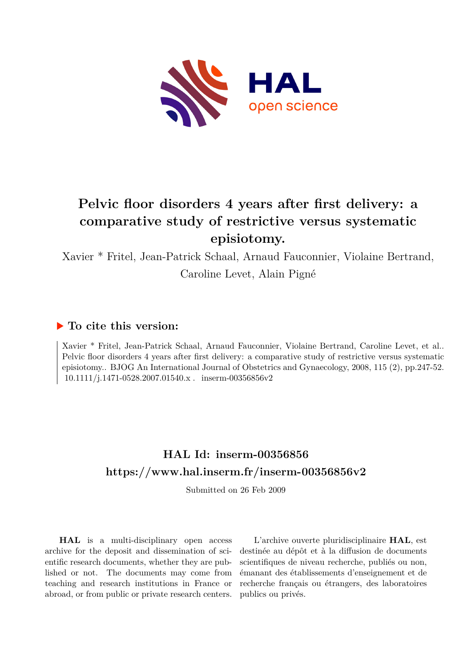

# **Pelvic floor disorders 4 years after first delivery: a comparative study of restrictive versus systematic episiotomy.**

Xavier \* Fritel, Jean-Patrick Schaal, Arnaud Fauconnier, Violaine Bertrand, Caroline Levet, Alain Pigné

## **To cite this version:**

Xavier \* Fritel, Jean-Patrick Schaal, Arnaud Fauconnier, Violaine Bertrand, Caroline Levet, et al.. Pelvic floor disorders 4 years after first delivery: a comparative study of restrictive versus systematic episiotomy.. BJOG An International Journal of Obstetrics and Gynaecology, 2008, 115 (2), pp.247-52.  $10.1111/i.1471-0528.2007.01540.x$ . inserm-00356856v2

## **HAL Id: inserm-00356856 <https://www.hal.inserm.fr/inserm-00356856v2>**

Submitted on 26 Feb 2009

**HAL** is a multi-disciplinary open access archive for the deposit and dissemination of scientific research documents, whether they are published or not. The documents may come from teaching and research institutions in France or abroad, or from public or private research centers.

L'archive ouverte pluridisciplinaire **HAL**, est destinée au dépôt et à la diffusion de documents scientifiques de niveau recherche, publiés ou non, émanant des établissements d'enseignement et de recherche français ou étrangers, des laboratoires publics ou privés.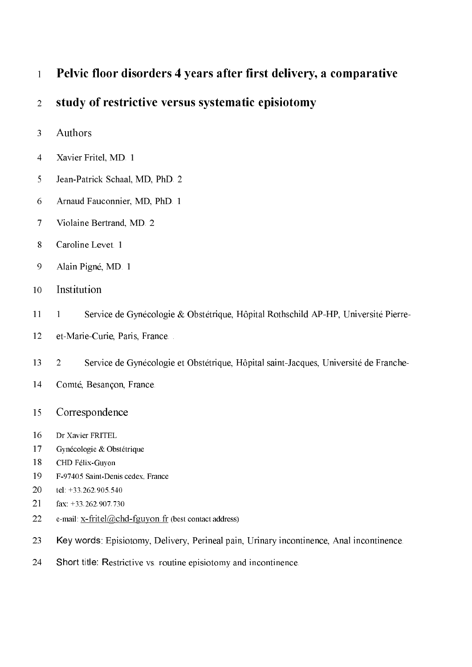## Pelvic floor disorders 4 years after first delivery, a comparative  $\overline{1}$

## study of restrictive versus systematic episiotomy  $\overline{2}$

- Authors  $\overline{3}$
- $\overline{4}$ Xavier Fritel, MD 1
- 5 Jean-Patrick Schaal, MD, PhD. 2
- 6 Arnaud Fauconnier, MD, PhD. 1
- $\overline{7}$ Violaine Bertrand, MD, 2
- 8 Caroline Levet. 1
- 9 Alain Pigné, MD. 1
- Institution 10
- Service de Gynécologie & Obstétrique, Hôpital Rothschild AP-HP, Université Pierre-11  $\mathbf{1}$
- 12 et-Marie-Curie, Paris, France...
- $13$  $\overline{2}$ Service de Gynécologie et Obstétrique, Hôpital saint-Jacques, Université de Franche-
- 14 Comté, Besançon, France.
- Correspondence 15
- 16 Dr Xavier FRITEL
- 17 Gynécologie & Obstétrique
- 18 CHD Félix-Guyon
- 19 F-97405 Saint-Denis cedex. France
- 20 tel: +33,262,905,540
- 21 fax:  $+33.262.907.730$
- 22 e-mail:  $x$ -fritel@chd-fguyon.fr (best contact address)
- 23 Key words: Episiotomy, Delivery, Perineal pain, Urinary incontinence, Anal incontinence.
- 24 Short title: Restrictive vs. routine episiotomy and incontinence.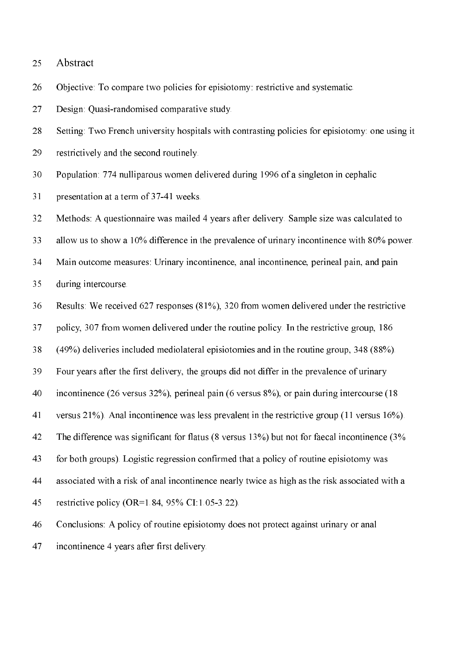#### 25 Abstract

Objective: To compare two policies for episiotomy: restrictive and systematic. 26

27 Design: Ouasi-randomised comparative study.

28 Setting: Two French university hospitals with contrasting policies for episiotomy: one using it

- 29 restrictively and the second routinely.
- 30 Population: 774 nulliparous women delivered during 1996 of a singleton in cephalic
- 31 presentation at a term of 37-41 weeks.

32 Methods: A questionnaire was mailed 4 years after delivery. Sample size was calculated to

33 allow us to show a 10% difference in the prevalence of urinary incontinence with 80% power.

34 Main outcome measures: Urinary incontinence, anal incontinence, perineal pain, and pain

35 during intercourse.

- Results: We received 627 responses (81%), 320 from women delivered under the restrictive 36
- 37 policy, 307 from women delivered under the routine policy. In the restrictive group, 186

38  $(49\%)$  deliveries included mediolateral episiotomies and in the routine group, 348  $(88\%)$ .

- 39 Four years after the first delivery, the groups did not differ in the prevalence of urinary
- 40 incontinence (26 versus  $32\%$ ), perineal pain (6 versus  $8\%$ ), or pain during intercourse (18

41 versus  $21\%$ ). Anal incontinence was less prevalent in the restrictive group (11 versus  $16\%$ ).

42 The difference was significant for flatus (8 versus  $13\%$ ) but not for faecal incontinence (3%

43 for both groups). Logistic regression confirmed that a policy of routine episiotomy was

- 44 associated with a risk of anal incontinence nearly twice as high as the risk associated with a
- 45 restrictive policy (OR= $1.84$ , 95% CI:1.05-3.22).
- 46 Conclusions: A policy of routine episiotomy does not protect against urinary or anal
- incontinence 4 years after first delivery. 47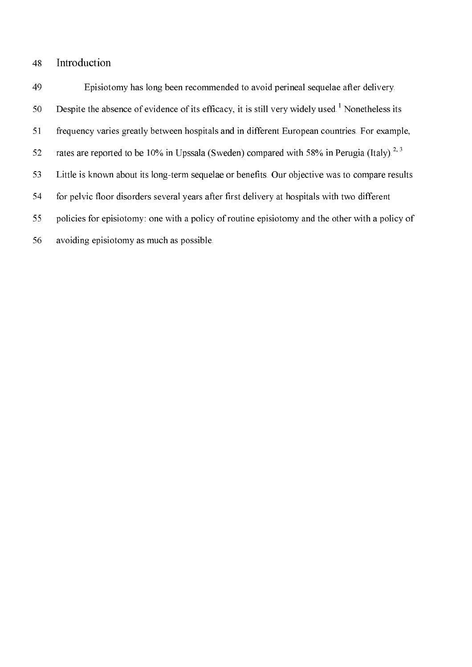### Introduction 48

49 Episiotomy has long been recommended to avoid perineal sequelae after delivery. Despite the absence of evidence of its efficacy, it is still very widely used.<sup>1</sup> Nonetheless its 50 51 frequency varies greatly between hospitals and in different European countries. For example, rates are reported to be 10% in Upssala (Sweden) compared with 58% in Perugia (Italy).<sup>2, 3</sup> 52 53 Little is known about its long-term sequelae or benefits. Our objective was to compare results 54 for pelvic floor disorders several years after first delivery at hospitals with two different policies for episiotomy: one with a policy of routine episiotomy and the other with a policy of 55 56 avoiding episiotomy as much as possible.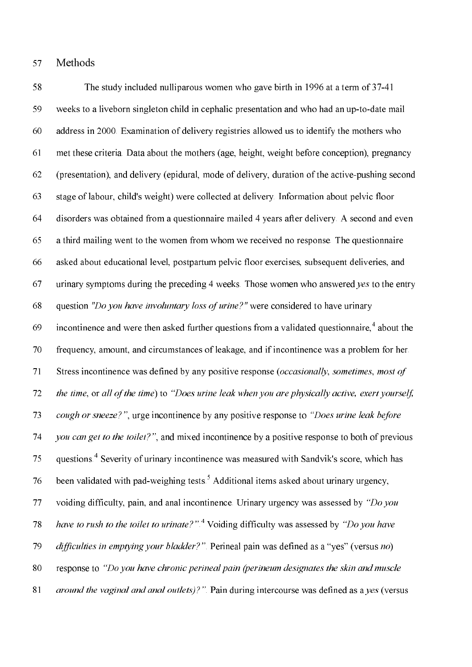#### 57 Methods

58 The study included nulliparous women who gave birth in 1996 at a term of 37-41 59 weeks to a liveborn singleton child in cephalic presentation and who had an up-to-date mail 60 address in 2000. Examination of delivery registries allowed us to identify the mothers who 61 met these criteria. Data about the mothers (age, height, weight before conception), pregnancy 62 (presentation), and delivery (epidural, mode of delivery, duration of the active-pushing second 63 stage of labour, child's weight) were collected at delivery. Information about pelvic floor disorders was obtained from a questionnaire mailed 4 years after delivery. A second and even 64 65 a third mailing went to the women from whom we received no response. The questionnaire 66 asked about educational level, postpartum pelvic floor exercises, subsequent deliveries, and 67 urinary symptoms during the preceding 4 weeks. Those women who answered yes to the entry question "Do you have involuntary loss of urine?" were considered to have urinary 68 incontinence and were then asked further questions from a validated questionnaire,<sup>4</sup> about the 69 70 frequency, amount, and circumstances of leakage, and if incontinence was a problem for her. 71 Stress incontinence was defined by any positive response (*occasionally*, *sometimes*, *most of* 72 the time, or all of the time) to "Does urine leak when you are physically active, exert yourself, cough or sneeze?", urge incontinence by any positive response to "Does urine leak before" 73 74 you can get to the toilet?", and mixed incontinence by a positive response to both of previous 75 questions.<sup>4</sup> Severity of urinary incontinence was measured with Sandvik's score, which has been validated with pad-weighing tests.<sup>5</sup> Additional items asked about urinary urgency, 76 77 voiding difficulty, pain, and anal incontinence. Urinary urgency was assessed by "Do you have to rush to the toilet to urinate?".<sup>4</sup> Voiding difficulty was assessed by "Do you have 78 79 difficulties in emptying your bladder?". Perineal pain was defined as a "yes" (versus no) 80 response to "Do you have chronic perineal pain (perineum designates the skin and muscle 81 *around the vaginal and anal outlets)?"*. Pain during intercourse was defined as a *yes* (versus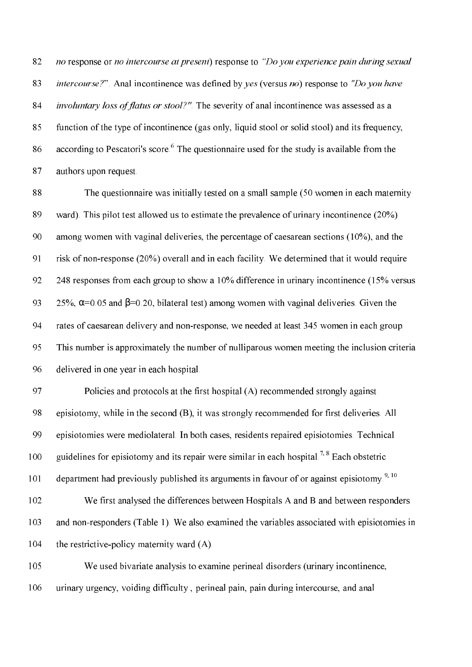82 no response or no intercourse at present) response to "Do you experience pain during sexual *intercourse?*". Anal incontinence was defined by *yes* (versus *no*) response to "Do *you have* 83 84 *involuntary loss of flatus or stool?"*. The severity of anal incontinence was assessed as a 85 function of the type of incontinence (gas only, liquid stool or solid stool) and its frequency, according to Pescatori's score.<sup>6</sup> The questionnaire used for the study is available from the 86 87 authors upon request.

The questionnaire was initially tested on a small sample (50 women in each maternity 88 89 ward). This pilot test allowed us to estimate the prevalence of urinary incontinence  $(20\%)$ 90 among women with vaginal deliveries, the percentage of caesarean sections  $(10\%)$ , and the 91 risk of non-response (20%) overall and in each facility. We determined that it would require 92 248 responses from each group to show a 10% difference in urinary incontinence (15% versus 93 25%,  $\alpha$ =0.05 and  $\beta$ =0.20, bilateral test) among women with vaginal deliveries. Given the 94 rates of caesarean delivery and non-response, we needed at least 345 women in each group. 95 This number is approximately the number of nulliparous women meeting the inclusion criteria 96 delivered in one year in each hospital.

97 Policies and protocols at the first hospital (A) recommended strongly against 98 episiotomy, while in the second (B), it was strongly recommended for first deliveries. All 99 episiotomies were mediolateral. In both cases, residents repaired episiotomies. Technical guidelines for episiotomy and its repair were similar in each hospital.<sup>7, 8</sup> Each obstetric 100 department had previously published its arguments in favour of or against episiotomy.<sup>9, 10</sup> 101

102 We first analysed the differences between Hospitals A and B and between responders 103 and non-responders (Table 1). We also examined the variables associated with episiotomies in 104 the restrictive-policy maternity ward (A).

105 We used bivariate analysis to examine perineal disorders (urinary incontinence, 106 urinary urgency, voiding difficulty, perineal pain, pain during intercourse, and anal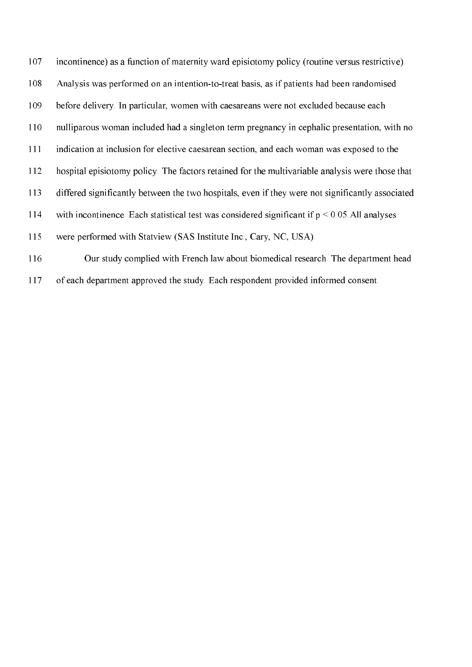107 incontinence) as a function of maternity ward episiotomy policy (routine versus restrictive). 108 Analysis was performed on an intention-to-treat basis, as if patients had been randomised 109 before delivery. In particular, women with caesareans were not excluded because each 110 nulliparous woman included had a singleton term pregnancy in cephalic presentation, with no 111 indication at inclusion for elective caesarean section, and each woman was exposed to the 112 hospital episiotomy policy. The factors retained for the multivariable analysis were those that 113 differed significantly between the two hospitals, even if they were not significantly associated 114 with incontinence. Each statistical test was considered significant if  $p \le 0.05$ . All analyses 115 were performed with Statview (SAS Institute Inc., Cary, NC, USA). 116 Our study complied with French law about biomedical research. The department head

117 of each department approved the study. Each respondent provided informed consent.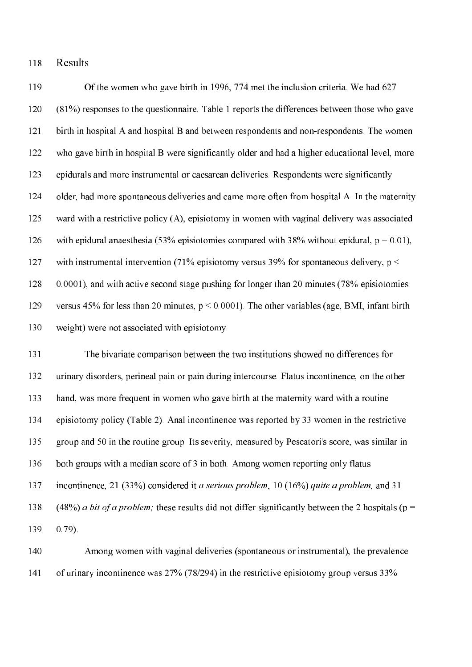Results 118

119 Of the women who gave birth in 1996, 774 met the inclusion criteria. We had 627 120  $(81%)$  responses to the questionnaire. Table 1 reports the differences between those who gave 121 birth in hospital A and hospital B and between respondents and non-respondents. The women 122 who gave birth in hospital B were significantly older and had a higher educational level, more 123 epidurals and more instrumental or caesarean deliveries. Respondents were significantly 124 older, had more spontaneous deliveries and came more often from hospital A. In the maternity 125 ward with a restrictive policy (A), episiotomy in women with vaginal delivery was associated 126 with epidural anaesthesia (53% episiotomies compared with 38% without epidural,  $p = 0.01$ ), 127 with instrumental intervention (71% episiotomy versus 39% for spontaneous delivery,  $p <$ 0.0001), and with active second stage pushing for longer than 20 minutes (78% episiotomies 128 129 versus 45% for less than 20 minutes,  $p < 0.0001$ ). The other variables (age, BMI, infant birth 130 weight) were not associated with episiotomy.

 $131$ The bivariate comparison between the two institutions showed no differences for 132 urinary disorders, perineal pain or pain during intercourse. Flatus incontinence, on the other 133 hand, was more frequent in women who gave birth at the maternity ward with a routine 134 episiotomy policy (Table 2). Anal incontinence was reported by 33 women in the restrictive 135 group and 50 in the routine group. Its severity, measured by Pescatori's score, was similar in 136 both groups with a median score of 3 in both. Among women reporting only flatus 137 incontinence, 21 (33%) considered it *a serious problem*, 10 (16%) *quite a problem*, and 31 138 (48%) *a bit of a problem*; these results did not differ significantly between the 2 hospitals ( $p =$ 139  $0.79$ ).

140 Among women with vaginal deliveries (spontaneous or instrumental), the prevalence 141 of urinary incontinence was  $27\%$  (78/294) in the restrictive episiotomy group versus 33%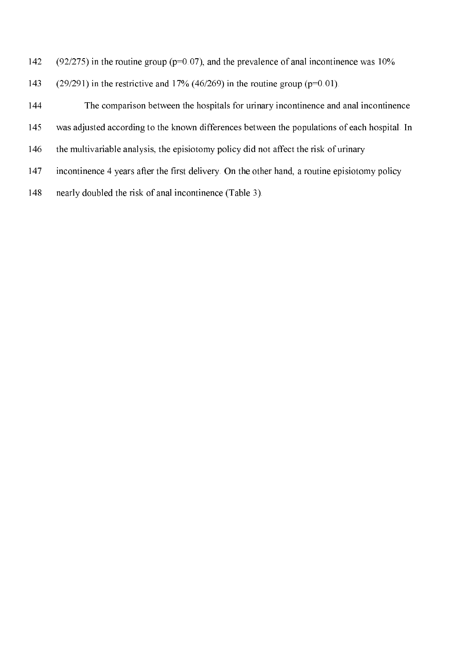- $(92/275)$  in the routine group ( $p=0.07$ ), and the prevalence of anal incontinence was 10% 142
- $(29/291)$  in the restrictive and 17% (46/269) in the routine group (p=0.01). 143

144 The comparison between the hospitals for urinary incontinence and anal incontinence 145 was adjusted according to the known differences between the populations of each hospital. In the multivariable analysis, the episiotomy policy did not affect the risk of urinary 146 147 incontinence 4 years after the first delivery. On the other hand, a routine episiotomy policy 148 nearly doubled the risk of anal incontinence (Table 3).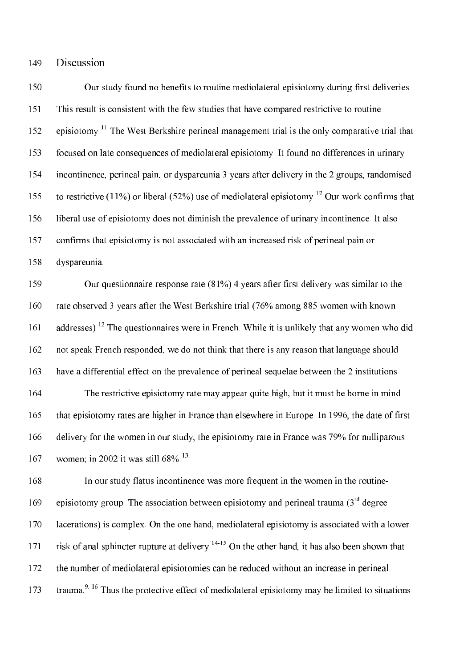#### Discussion 149

150 Our study found no benefits to routine mediolateral episiotomy during first deliveries. 151 This result is consistent with the few studies that have compared restrictive to routine episiotomy.<sup>11</sup> The West Berkshire perineal management trial is the only comparative trial that 152 153 focused on late consequences of mediolateral episiotomy. It found no differences in urinary 154 incontinence, perineal pain, or dyspareunia 3 years after delivery in the 2 groups, randomised to restrictive (11%) or liberal (52%) use of mediolateral episiotomy.<sup>12</sup> Our work confirms that 155 156 liberal use of episiotomy does not diminish the prevalence of urinary incontinence. It also 157 confirms that episiotomy is not associated with an increased risk of perineal pain or 158 dyspareunia.

159 Our questionnaire response rate  $(81\%)$  4 years after first delivery was similar to the 160 rate observed 3 years after the West Berkshire trial (76% among 885 women with known addresses).<sup>12</sup> The questionnaires were in French. While it is unlikely that any women who did 161 162 not speak French responded, we do not think that there is any reason that language should 163 have a differential effect on the prevalence of perineal sequelae between the 2 institutions. 164 The restrictive episiotomy rate may appear quite high, but it must be borne in mind 165 that episiotomy rates are higher in France than elsewhere in Europe. In 1996, the date of first

166 delivery for the women in our study, the episiotomy rate in France was 79% for nulliparous 167 women; in 2002 it was still 68%.<sup>13</sup>

168 In our study flatus incontinence was more frequent in the women in the routineepisiotomy group. The association between episiotomy and perineal trauma  $(3<sup>rd</sup>$  degree 169 170 lacerations) is complex. On the one hand, mediolateral episiotomy is associated with a lower risk of anal sphincter rupture at delivery.<sup>14-15</sup> On the other hand, it has also been shown that 171 172 the number of mediolateral episiotomies can be reduced without an increase in perineal trauma.<sup>9, 16</sup> Thus the protective effect of mediolateral episiotomy may be limited to situations 173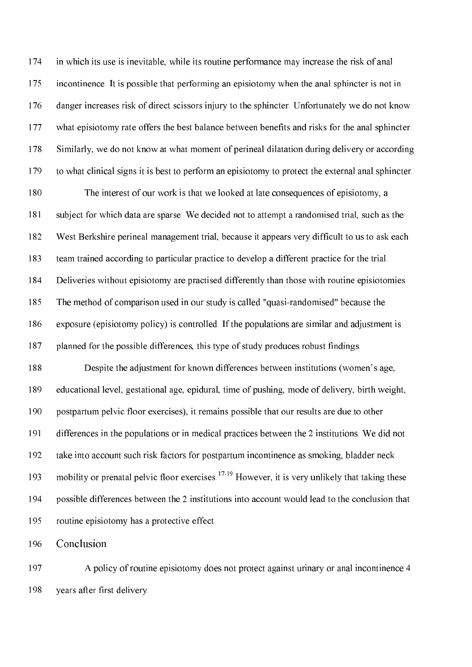174 in which its use is inevitable, while its routine performance may increase the risk of anal 175 incontinence. It is possible that performing an episiotomy when the anal sphincter is not in 176 danger increases risk of direct scissors injury to the sphincter. Unfortunately we do not know 177 what episiotomy rate offers the best balance between benefits and risks for the anal sphincter. 178 Similarly, we do not know at what moment of perineal dilatation during delivery or according 179 to what clinical signs it is best to perform an episiotomy to protect the external anal sphincter.

180 The interest of our work is that we looked at late consequences of episiotomy, a 181 subject for which data are sparse. We decided not to attempt a randomised trial, such as the 182 West Berkshire perineal management trial, because it appears very difficult to us to ask each 183 team trained according to particular practice to develop a different practice for the trial. 184 Deliveries without episiotomy are practised differently than those with routine episiotomies. 185 The method of comparison used in our study is called "quasi-randomised" because the 186 exposure (episiotomy policy) is controlled. If the populations are similar and adjustment is 187 planned for the possible differences, this type of study produces robust findings.

188 Despite the adjustment for known differences between institutions (women's age, 189 educational level, gestational age, epidural, time of pushing, mode of delivery, birth weight, 190 postpartum pelvic floor exercises), it remains possible that our results are due to other 191 differences in the populations or in medical practices between the 2 institutions. We did not 192 take into account such risk factors for postpartum incontinence as smoking, bladder neck mobility or prenatal pelvic floor exercises.<sup>17-19</sup> However, it is very unlikely that taking these 193 194 possible differences between the 2 institutions into account would lead to the conclusion that 195 routine episiotomy has a protective effect.

196 Conclusion

197 A policy of routine episiotomy does not protect against urinary or anal incontinence 4 198 years after first delivery.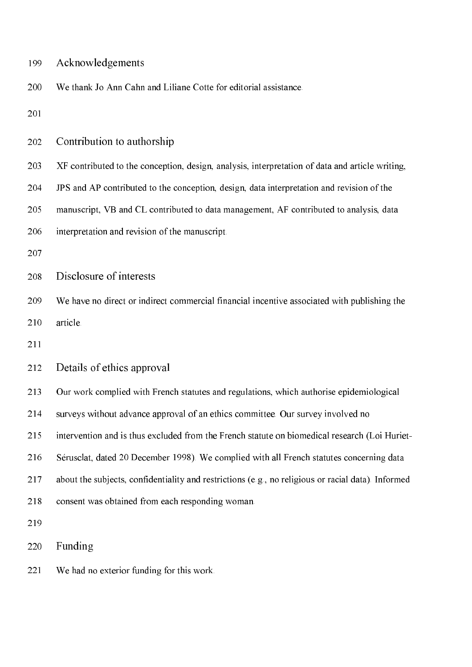| 199 | Acknowledgements                                                                                   |
|-----|----------------------------------------------------------------------------------------------------|
| 200 | We thank Jo Ann Cahn and Liliane Cotte for editorial assistance.                                   |
| 201 |                                                                                                    |
| 202 | Contribution to authorship                                                                         |
| 203 | XF contributed to the conception, design, analysis, interpretation of data and article writing,    |
| 204 | JPS and AP contributed to the conception, design, data interpretation and revision of the          |
| 205 | manuscript, VB and CL contributed to data management, AF contributed to analysis, data             |
| 206 | interpretation and revision of the manuscript.                                                     |
| 207 |                                                                                                    |
| 208 | Disclosure of interests                                                                            |
| 209 | We have no direct or indirect commercial financial incentive associated with publishing the        |
| 210 | article.                                                                                           |
| 211 |                                                                                                    |
| 212 | Details of ethics approval                                                                         |
| 213 | Our work complied with French statutes and regulations, which authorise epidemiological            |
| 214 | surveys without advance approval of an ethics committee. Our survey involved no                    |
| 215 | intervention and is thus excluded from the French statute on biomedical research (Loi Huriet-      |
| 216 | Sérusclat, dated 20 December 1998). We complied with all French statutes concerning data           |
| 217 | about the subjects, confidentiality and restrictions (e.g., no religious or racial data). Informed |
| 218 | consent was obtained from each responding woman.                                                   |
| 219 |                                                                                                    |
| 220 | Funding                                                                                            |
| 221 | We had no exterior funding for this work.                                                          |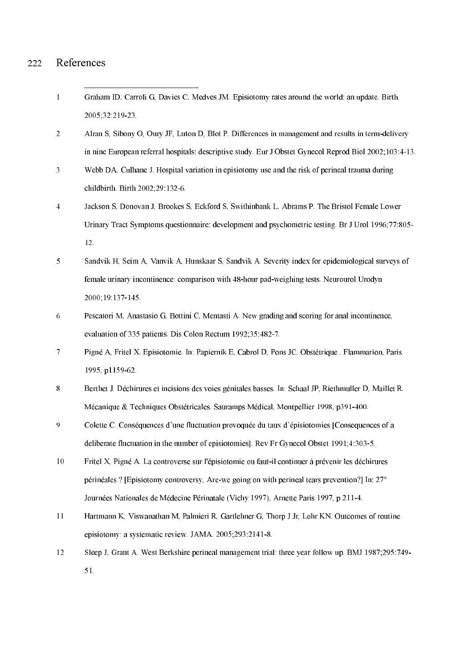#### References 222

- $\mathbf{1}$ Graham ID, Carroli G, Davies C, Medves JM. Episiotomy rates around the world: an update. Birth. 2005;32:219-23.
- Alran S, Sibony O, Oury JF, Luton D, Blot P. Differences in management and results in term-delivery  $\overline{2}$ in nine European referral hospitals: descriptive study. Eur J Obstet Gynecol Reprod Biol 2002;103:4-13.
- $\overline{3}$ Webb DA. Culhane J. Hospital variation in episiotomy use and the risk of perineal trauma during childbirth. Birth 2002;29:132-6.
- $\overline{4}$ Jackson S, Donovan J, Brookes S, Eckford S, Swithinbank L, Abrams P. The Bristol Female Lower Urinary Tract Symptoms questionnaire: development and psychometric testing. Br J Urol 1996:77:805-12.
- 5 Sandvik H, Seim A, Vanvik A, Hunskaar S, Sandvik A. Severity index for epidemiological surveys of female urinary incontinence: comparison with 48-hour pad-weighing tests. Neurourol Urodyn 2000, 19:137-145.
- 6 Pescatori M, Anastasio G, Bottini C, Mentasti A. New grading and scoring for anal incontinence, evaluation of 335 patients. Dis Colon Rectum 1992;35:482-7.
- $\overline{7}$ Pigné A, Fritel X. Episiotomie. In: Papiernik E, Cabrol D, Pons JC. Obstétrique, Flammarion, Paris 1995, p1159-62.
- $\overline{8}$ Berthet J. Déchirures et incisions des voies génitales basses. In: Schaal JP, Riethmuller D, Maillet R. Mécanique & Techniques Obstétricales. Sauramps Médical, Montpellier 1998, p391-400.
- 9 Colette C. Conséquences d'une fluctuation provoquée du taux d'épisiotomies [Consequences of a deliberate fluctuation in the number of episiotomies]. Rev Fr Gynecol Obstet 1991;4:303-5.
- $10$ Fritel X, Pigné A. La controverse sur l'épisiotomie ou faut-il continuer à prévenir les déchirures périnéales ? [Episiotomy controversy, Are-we going on with perineal tears prevention?] In:  $27^{\circ}$ Journées Nationales de Médecine Périnatale (Vichy 1997), Arnette Paris 1997, p 211-4.
- $11$ Hartmann K, Viswanathan M, Palmieri R, Gartlehner G, Thorp J Jr, Lohr KN. Outcomes of routine episiotomy: a systematic review. JAMA. 2005;293:2141-8.
- $12<sup>°</sup>$ Sleep J. Grant A. West Berkshire perineal management trial: three year follow up. BMJ 1987:295:749-51.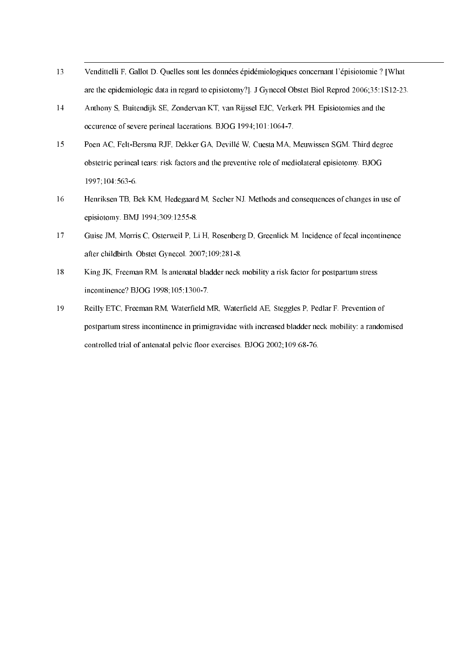- 13 Vendittelli F, Gallot D. Quelles sont les données épidémiologiques concernant l'épisiotomie ? [What are the epidemiologic data in regard to episiotomy?]. J Gynecol Obstet Biol Reprod 2006;35:1S12-23.
- 14 Anthony S, Buitendijk SE, Zondervan KT, van Rijssel EJC, Verkerk PH. Episiotomies and the occurence of severe perineal lacerations. BJOG 1994;101:1064-7.
- $15<sup>15</sup>$ Poen AC, Felt-Bersma RJF, Dekker GA, Devillé W, Cuesta MA, Meuwissen SGM. Third degree obstetric perineal tears: risk factors and the preventive role of mediolateral episiotomy. BJOG 1997;104:563-6.
- 16 Henriksen TB, Bek KM, Hedegaard M, Secher NJ. Methods and consequences of changes in use of episiotomy. BMJ 1994;309:1255-8.
- $17$ Guise JM, Morris C, Osterweil P, Li H, Rosenberg D, Greenlick M. Incidence of fecal incontinence after childbirth. Obstet Gynecol. 2007;109:281-8.
- 18 King JK, Freeman RM. Is antenatal bladder neck mobility a risk factor for postpartum stress incontinence? BJOG 1998;105:1300-7.
- 19 Reilly ETC, Freeman RM, Waterfield MR, Waterfield AE, Steggles P, Pedlar F. Prevention of postpartum stress incontinence in primigravidae with increased bladder neck mobility: a randomised controlled trial of antenatal pelvic floor exercises. BJOG 2002, 109:68-76.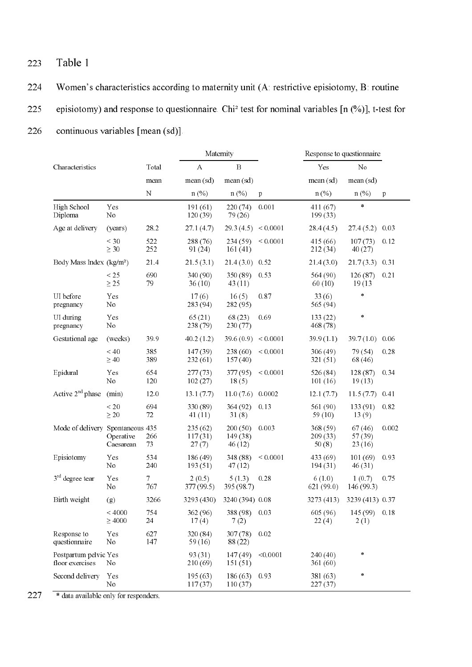### 223 Table 1

224 Women's characteristics according to maternity unit  $(A)$ : restrictive episiotomy,  $B$ : routine 225 episiotomy) and response to questionnaire. Chi<sup>2</sup> test for nominal variables  $[n (%)]$ , t-test for 226 continuous variables [mean (sd)].

|                                          |                        | Maternity  |                                  |                               |              | Response to questionnaire    |                              |              |
|------------------------------------------|------------------------|------------|----------------------------------|-------------------------------|--------------|------------------------------|------------------------------|--------------|
| Characteristics                          |                        | Total      | $\, {\bf B}$<br>$\boldsymbol{A}$ |                               |              | Yes                          | No                           |              |
|                                          |                        | mean       | mean (sd)                        | mean (sd)                     |              | mean (sd)                    | mean (sd)                    |              |
|                                          |                        | $\rm N$    | n(%)                             | n(%)                          | p            | n(%)                         | $n(\%)$                      | $\mathbf{p}$ |
| High School<br>Diploma                   | Yes<br>No              |            | 191(61)<br>120(39)               | 220 (74)<br>79 (26)           | 0.001        | 411(67)<br>199(33)           | $\star$                      |              |
| Age at delivery                          | (years)                | 28.2       | 271(4.7)                         | 29.3(4.5)                     | < 0.0001     | 28.4(4.5)                    | 274(5.2)                     | 0.03         |
|                                          | $<$ 30<br>$\geq 30$    | 522<br>252 | 288 (76)<br>91 (24)              | 234 (59)<br>161(41)           | < 0.0001     | 415 (66)<br>212(34)          | 107(73)<br>40 (27)           | 0.12         |
| Body Mass Index (kg/m <sup>2</sup> )     |                        | 21.4       | 21.5(3.1)                        | 21.4(3.0)                     | 0.52         | 21.4(3.0)                    | 217(33)                      | 0.31         |
|                                          | $<25$<br>$\geq 25$     | 690<br>79  | 340 (90)<br>36(10)               | 350 (89)<br>43(11)            | 0.53         | 564 (90)<br>60(10)           | 126(87)<br>19(13)            | 0.21         |
| UI before<br>pregnancy                   | Yes<br>No              |            | 17(6)<br>283 (94)                | 16(5)<br>282 (95)             | 0.87         | 33(6)<br>565 (94)            | $\ast$                       |              |
| UI during<br>pregnancy                   | Yes<br>No              |            | 65(21)<br>238 (79)               | 68 (23)<br>230(77)            | 0.69         | 133(22)<br>468 (78)          | $\ast$                       |              |
| Gestational age                          | (weeks)                | 39.9       | 40.2(1.2)                        | 396(0.9)                      | ${}< 0.0001$ | 39.9(1.1)                    | 39.7(10)                     | 0.06         |
|                                          | < 40<br>$\geq 40$      | 385<br>389 | 147(39)<br>232(61)               | 238 (60)<br>157(40)           | < 0.0001     | 306 (49)<br>321(51)          | 79 (54)<br>68 (46)           | 0.28         |
| Epidural                                 | Yes<br>No              | 654<br>120 | 277(73)<br>102(27)               | 377 (95)<br>18(5)             | < 0.0001     | 526 (84)<br>101(16)          | 128(87)<br>19(13)            | 0.34         |
| Active $2nd$ phase                       | (min)                  | 12.0       | 13.1(7.7)                        | 11.0(7.6)                     | 0.0002       | 12.1(7.7)                    | 11.5(7.7)                    | 0.41         |
|                                          | < 20<br>$\geq 20$      | 694<br>72  | 330 (89)<br>41(11)               | 364 (92)<br>31(8)             | 0.13         | 561 (90)<br>59 (10)          | 133(91)<br>13(9)             | 0.82         |
| Mode of delivery Spontaneous 435         | Operative<br>Caesarean | 266<br>73  | 235(62)<br>117(31)<br>27(7)      | 200(50)<br>149 (38)<br>46(12) | 0.003        | 368 (59)<br>209(33)<br>50(8) | 67(46)<br>57 (39)<br>23 (16) | 0.002        |
| Episiotomy                               | Yes<br>No              | 534<br>240 | 186 (49)<br>193(51)              | 348 (88)<br>47(12)            | ${}< 0.0001$ | 433 (69)<br>194(31)          | 101(69)<br>46(31)            | 0.93         |
| $3rd$ degree tear                        | Yes<br>No              | 7<br>767   | 2(0.5)<br>377 (99.5)             | 5(13)<br>395 (98.7)           | 0.28         | 6(10)<br>621 (99.0)          | 1(0.7)<br>146 (993)          | 0.75         |
| Birth weight                             | (g)                    | 3266       | 3293 (430)                       | 3240 (394) 0.08               |              | 3273 (413)                   | 3239 (413) 0.37              |              |
|                                          | < 4000<br>$\geq 4000$  | 754<br>24  | 362 (96)<br>17(4)                | 388 (98)<br>7(2)              | 0.03         | 605 (96)<br>22(4)            | 145 (99)<br>2(1)             | 0.18         |
| Response to<br>questionnaire             | Yes<br>No              | 627<br>147 | 320 (84)<br>59 (16)              | 307(78)<br>88 (22)            | 0.02         |                              |                              |              |
| Postpartum pelvic Yes<br>floor exercises | No                     |            | 93 (31)<br>210 (69)              | 147(49)<br>151(51)            | < 0.0001     | 240 (40)<br>361 (60)         |                              |              |
| Second delivery                          | Yes<br>No              |            | 195(63)<br>117(37)               | 186(63)<br>110(37)            | 0.93         | 381 (63)<br>227(37)          | $\frac{1}{2}$                |              |

227 \* data available only for responders.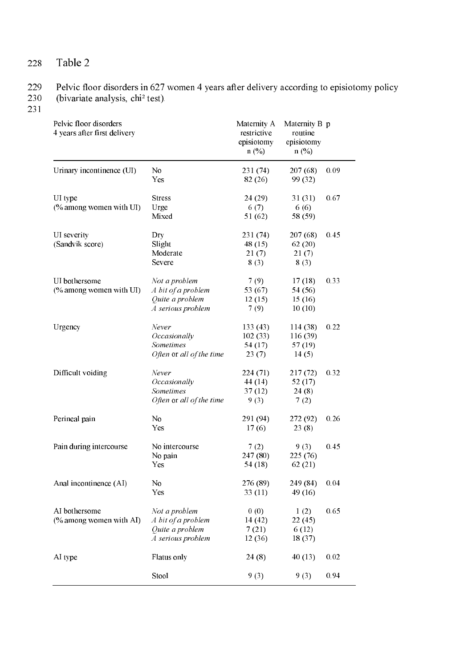Table 2 228

#### 229 Pelvic floor disorders in 627 women 4 years after delivery according to episiotomy policy

230 (bivariate analysis, chi<sup>2</sup> test).

 $231$ 

Pelvic floor disorders Maternity A Maternity B p 4 years after first delivery restrictive routine episiotomy episiotomy  $n$  (%)  $n$  (%)  $207(68)$ Urinary incontinence (UI)  $No$  $231(74)$  $0.09$  $82(26)$ 99 (32) Yes UI type **Stress**  $24(29)$  $31(31)$ 0.67 (% among women with UI)  $6(7)$ Urge  $6(6)$ Mixed  $51(62)$ 58 (59) 231 (74)  $207(68)$ UI severity Dry 0.45 48 $(15)$ (Sandvik score) Slight  $62(20)$  $21(7)$  $21(7)$ Moderate Severe  $8(3)$  $8(3)$ UI bothersome Not a problem  $7(9)$  $17(18)$ 0.33 A bit of a problem 53 (67) 54 (56) (% among women with UI) Quite a problem  $12(15)$  $15(16)$  $\tilde{A}$  serious problem  $7(9)$  $10(10)$ Urgency Never  $133(43)$  $114(38)$ 0.22 Occasionally  $102(33)$  $116(39)$ Sometimes  $54(17)$  $57(19)$ Often or all of the time  $23(7)$  $14(5)$ Difficult voiding Never  $224(71)$  $217(72)$ 0.32  $44(14)$ Occasionally  $52(17)$  $37(12)$  $24(8)$ Sometimes Often or all of the time  $9(3)$  $7(2)$ Perineal pain  $No$ 291 (94) 272 (92) 0.26 Yes  $17(6)$  $23(8)$ Pain during intercourse  $7(2)$  $9(3)$ 0.45 No intercourse  $225(76)$ No pain  $247(80)$ Yes  $54(18)$  $62(21)$ 276 (89) 249 (84) Anal incontinence (AI)  $No$  $0.04$ Yes  $33(11)$ 49 $(16)$ Not a problem  $0(0)$ AI bothersome  $1(2)$ 0.65 (% among women with AI) A bit of a problem  $14(42)$  $22(45)$ Quite a problem  $7(21)$  $6(12)$ A serious problem 12 (36) 18 (37) AI type Flatus only  $24(8)$  $40(13)$ 0.02  $9(3)$ 0.94 Stool  $9(3)$